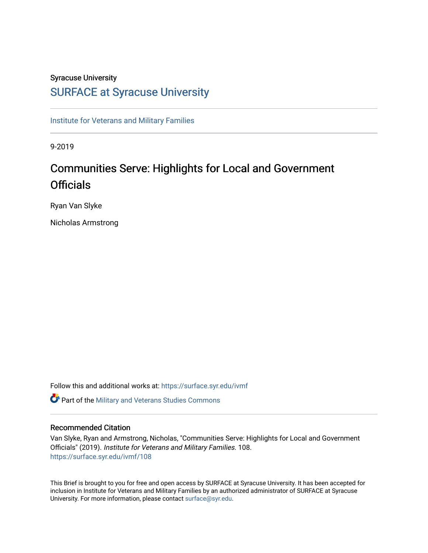## Syracuse University

# [SURFACE at Syracuse University](https://surface.syr.edu/)

[Institute for Veterans and Military Families](https://surface.syr.edu/ivmf)

9-2019

# Communities Serve: Highlights for Local and Government **Officials**

Ryan Van Slyke

Nicholas Armstrong

Follow this and additional works at: [https://surface.syr.edu/ivmf](https://surface.syr.edu/ivmf?utm_source=surface.syr.edu%2Fivmf%2F108&utm_medium=PDF&utm_campaign=PDFCoverPages) 

**C** Part of the [Military and Veterans Studies Commons](http://network.bepress.com/hgg/discipline/396?utm_source=surface.syr.edu%2Fivmf%2F108&utm_medium=PDF&utm_campaign=PDFCoverPages)

### Recommended Citation

Van Slyke, Ryan and Armstrong, Nicholas, "Communities Serve: Highlights for Local and Government Officials" (2019). Institute for Veterans and Military Families. 108. [https://surface.syr.edu/ivmf/108](https://surface.syr.edu/ivmf/108?utm_source=surface.syr.edu%2Fivmf%2F108&utm_medium=PDF&utm_campaign=PDFCoverPages) 

This Brief is brought to you for free and open access by SURFACE at Syracuse University. It has been accepted for inclusion in Institute for Veterans and Military Families by an authorized administrator of SURFACE at Syracuse University. For more information, please contact [surface@syr.edu.](mailto:surface@syr.edu)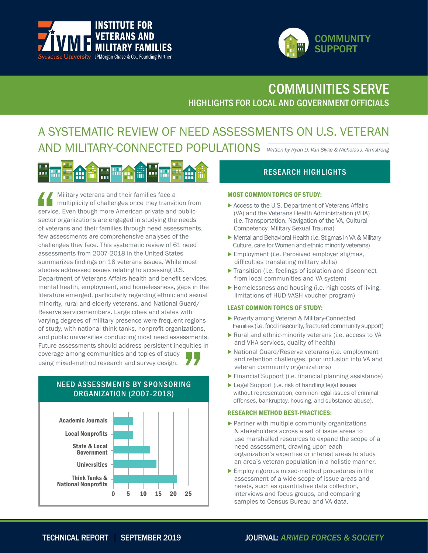



# HIGHLIGHTS FOR LOCAL AND GOVERNMENT OFFICIALS COMMUNITIES SERVE

# A SYSTEMATIC REVIEW OF NEED ASSESSMENTS ON U.S. VETERAN AND MILITARY-CONNECTED POPULATIONS *Written by Ryan D. Van Slyke & Nicholas J. Armstrong*

 Military veterans and their families face a multiplicity of challenges once they transition from service. Even though more American private and publicsector organizations are engaged in studying the needs of veterans and their families through need assessments, few assessments are comprehensive analyses of the challenges they face. This systematic review of 61 need assessments from 2007-2018 in the United States summarizes findings on 18 veterans issues. While most studies addressed issues relating to accessing U.S. Department of Veterans Affairs health and benefit services, mental health, employment, and homelessness, gaps in the literature emerged, particularly regarding ethnic and sexual minority, rural and elderly veterans, and National Guard/ Reserve servicemembers. Large cities and states with varying degrees of military presence were frequent regions of study, with national think tanks, nonprofit organizations, and public universities conducting most need assessments. Future assessments should address persistent inequities in coverage among communities and topics of study using mixed-method research and survey design.

# NEED ASSESSMENTS BY SPONSORING ORGANIZATION (2007-2018)



# RESEARCH HIGHLIGHTS

#### MOST COMMON TOPICS OF STUDY:

- Access to the U.S. Department of Veterans Affairs (VA) and the Veterans Health Administration (VHA) (i.e. Transportation, Navigation of the VA, Cultural Competency, Military Sexual Trauma)
- Mental and Behavioral Health (i.e. Stigmas in VA & Military Culture, care for Women and ethnic minority veterans)
- Employment (i.e. Perceived employer stigmas, difficulties translating military skills)
- Transition (i.e. feelings of isolation and disconnect from local communities and VA system)
- Homelessness and housing (i.e. high costs of living, limitations of HUD-VASH voucher program)

#### LEAST COMMON TOPICS OF STUDY:

- Poverty among Veteran & Military-Connected Families (i.e. food insecurity, fractured community support)
- Rural and ethnic-minority veterans (i.e. access to VA and VHA services, quality of health)
- National Guard/Reserve veterans (i.e. employment and retention challenges, poor inclusion into VA and veteran community organizations)
- Financial Support (i.e. financial planning assistance)
- ▶ Legal Support (i.e. risk of handling legal issues without representation, common legal issues of criminal offenses, bankruptcy, housing, and substance abuse).

#### RESEARCH METHOD BEST-PRACTICES:

- Partner with multiple community organizations & stakeholders across a set of issue areas to use marshalled resources to expand the scope of a need assessment, drawing upon each organization's expertise or interest areas to study an area's veteran population in a holistic manner.
- Employ rigorous mixed-method procedures in the assessment of a wide scope of issue areas and needs, such as quantitative data collection, interviews and focus groups, and comparing samples to Census Bureau and VA data.